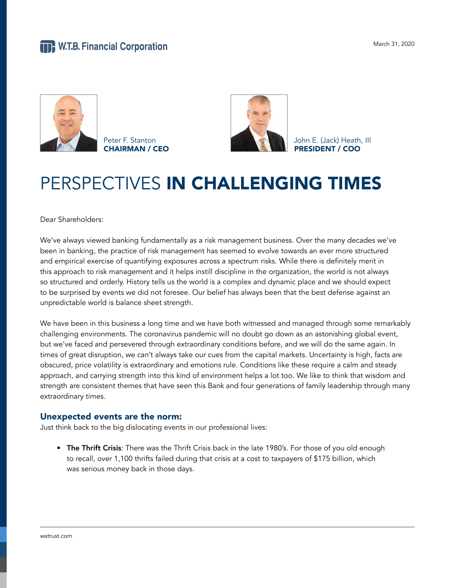

Peter F. Stanton **CEO CHAIRMAN / CEO CHAIRMAN / CEO** 



PRESIDENT / COO

# PERSPECTIVES IN CHALLENGING TIMES

Dear Shareholders:

We've always viewed banking fundamentally as a risk management business. Over the many decades we've been in banking, the practice of risk management has seemed to evolve towards an ever more structured and empirical exercise of quantifying exposures across a spectrum risks. While there is definitely merit in this approach to risk management and it helps instill discipline in the organization, the world is not always so structured and orderly. History tells us the world is a complex and dynamic place and we should expect to be surprised by events we did not foresee. Our belief has always been that the best defense against an unpredictable world is balance sheet strength.

We have been in this business a long time and we have both witnessed and managed through some remarkably challenging environments. The coronavirus pandemic will no doubt go down as an astonishing global event, but we've faced and persevered through extraordinary conditions before, and we will do the same again. In times of great disruption, we can't always take our cues from the capital markets. Uncertainty is high, facts are obscured, price volatility is extraordinary and emotions rule. Conditions like these require a calm and steady approach, and carrying strength into this kind of environment helps a lot too. We like to think that wisdom and strength are consistent themes that have seen this Bank and four generations of family leadership through many extraordinary times.

### Unexpected events are the norm:

Just think back to the big dislocating events in our professional lives:

• The Thrift Crisis: There was the Thrift Crisis back in the late 1980's. For those of you old enough to recall, over 1,100 thrifts failed during that crisis at a cost to taxpayers of \$175 billion, which was serious money back in those days.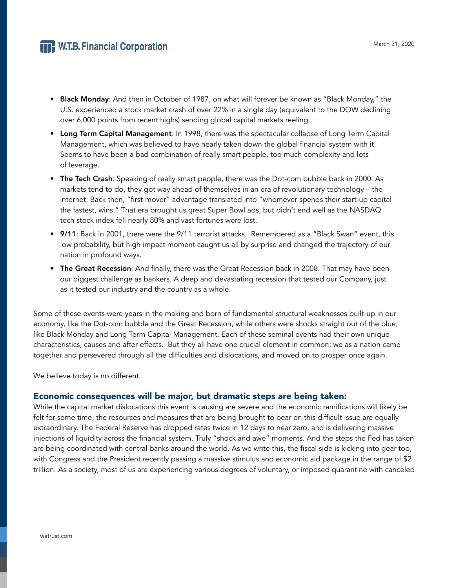## **THE W.T.B. Financial Corporation**

- Black Monday: And then in October of 1987, on what will forever be known as "Black Monday," the U.S. experienced a stock market crash of over 22% in a single day (equivalent to the DOW declining over 6,000 points from recent highs) sending global capital markets reeling.
- Long Term Capital Management: In 1998, there was the spectacular collapse of Long Term Capital Management, which was believed to have nearly taken down the global financial system with it. Seems to have been a bad combination of really smart people, too much complexity and lots of leverage.
- The Tech Crash: Speaking of really smart people, there was the Dot-com bubble back in 2000. As markets tend to do, they got way ahead of themselves in an era of revolutionary technology – the internet. Back then, "first-mover" advantage translated into "whomever spends their start-up capital the fastest, wins." That era brought us great Super Bowl ads, but didn't end well as the NASDAQ tech stock index fell nearly 80% and vast fortunes were lost.
- 9/11: Back in 2001, there were the 9/11 terrorist attacks. Remembered as a "Black Swan" event, this low probability, but high impact moment caught us all by surprise and changed the trajectory of our nation in profound ways.
- The Great Recession: And finally, there was the Great Recession back in 2008. That may have been our biggest challenge as bankers. A deep and devastating recession that tested our Company, just as it tested our industry and the country as a whole.

Some of these events were years in the making and born of fundamental structural weaknesses built-up in our economy, like the Dot-com bubble and the Great Recession, while others were shocks straight out of the blue, like Black Monday and Long Term Capital Management. Each of these seminal events had their own unique characteristics, causes and after effects. But they all have one crucial element in common; we as a nation came together and persevered through all the difficulties and dislocations, and moved on to prosper once again.

We believe today is no different.

### Economic consequences will be major, but dramatic steps are being taken:

While the capital market dislocations this event is causing are severe and the economic ramifications will likely be felt for some time, the resources and measures that are being brought to bear on this difficult issue are equally extraordinary. The Federal Reserve has dropped rates twice in 12 days to near zero, and is delivering massive injections of liquidity across the financial system. Truly "shock and awe" moments. And the steps the Fed has taken are being coordinated with central banks around the world. As we write this, the fiscal side is kicking into gear too, with Congress and the President recently passing a massive stimulus and economic aid package in the range of \$2 trillion. As a society, most of us are experiencing various degrees of voluntary, or imposed quarantine with canceled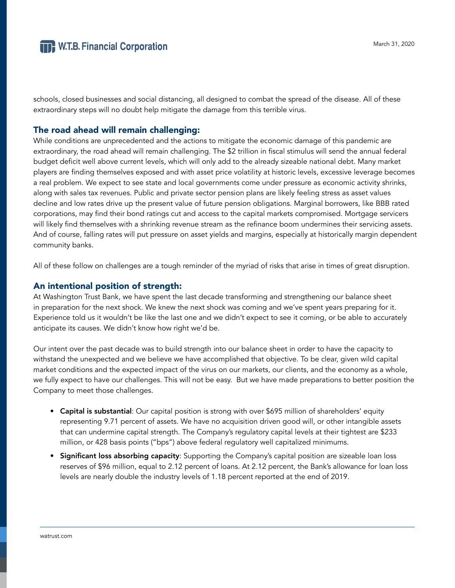schools, closed businesses and social distancing, all designed to combat the spread of the disease. All of these extraordinary steps will no doubt help mitigate the damage from this terrible virus.

## The road ahead will remain challenging:

While conditions are unprecedented and the actions to mitigate the economic damage of this pandemic are extraordinary, the road ahead will remain challenging. The \$2 trillion in fiscal stimulus will send the annual federal budget deficit well above current levels, which will only add to the already sizeable national debt. Many market players are finding themselves exposed and with asset price volatility at historic levels, excessive leverage becomes a real problem. We expect to see state and local governments come under pressure as economic activity shrinks, along with sales tax revenues. Public and private sector pension plans are likely feeling stress as asset values decline and low rates drive up the present value of future pension obligations. Marginal borrowers, like BBB rated corporations, may find their bond ratings cut and access to the capital markets compromised. Mortgage servicers will likely find themselves with a shrinking revenue stream as the refinance boom undermines their servicing assets. And of course, falling rates will put pressure on asset yields and margins, especially at historically margin dependent community banks.

All of these follow on challenges are a tough reminder of the myriad of risks that arise in times of great disruption.

## An intentional position of strength:

At Washington Trust Bank, we have spent the last decade transforming and strengthening our balance sheet in preparation for the next shock. We knew the next shock was coming and we've spent years preparing for it. Experience told us it wouldn't be like the last one and we didn't expect to see it coming, or be able to accurately anticipate its causes. We didn't know how right we'd be.

Our intent over the past decade was to build strength into our balance sheet in order to have the capacity to withstand the unexpected and we believe we have accomplished that objective. To be clear, given wild capital market conditions and the expected impact of the virus on our markets, our clients, and the economy as a whole, we fully expect to have our challenges. This will not be easy. But we have made preparations to better position the Company to meet those challenges.

- Capital is substantial: Our capital position is strong with over \$695 million of shareholders' equity representing 9.71 percent of assets. We have no acquisition driven good will, or other intangible assets that can undermine capital strength. The Company's regulatory capital levels at their tightest are \$233 million, or 428 basis points ("bps") above federal regulatory well capitalized minimums.
- Significant loss absorbing capacity: Supporting the Company's capital position are sizeable loan loss reserves of \$96 million, equal to 2.12 percent of loans. At 2.12 percent, the Bank's allowance for loan loss levels are nearly double the industry levels of 1.18 percent reported at the end of 2019.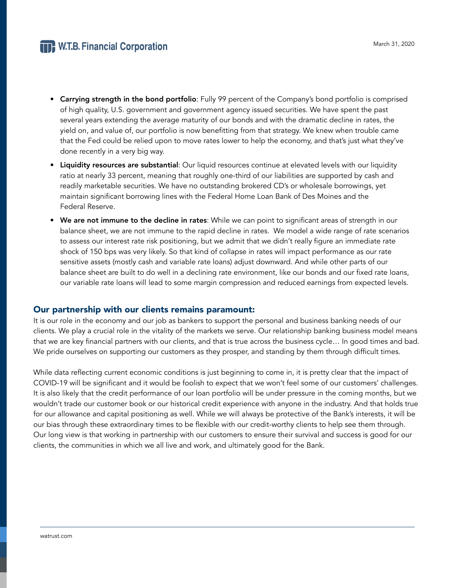# **THE W.T.B. Financial Corporation**

- Carrying strength in the bond portfolio: Fully 99 percent of the Company's bond portfolio is comprised of high quality, U.S. government and government agency issued securities. We have spent the past several years extending the average maturity of our bonds and with the dramatic decline in rates, the yield on, and value of, our portfolio is now benefitting from that strategy. We knew when trouble came that the Fed could be relied upon to move rates lower to help the economy, and that's just what they've done recently in a very big way.
- Liquidity resources are substantial: Our liquid resources continue at elevated levels with our liquidity ratio at nearly 33 percent, meaning that roughly one-third of our liabilities are supported by cash and readily marketable securities. We have no outstanding brokered CD's or wholesale borrowings, yet maintain significant borrowing lines with the Federal Home Loan Bank of Des Moines and the Federal Reserve.
- We are not immune to the decline in rates: While we can point to significant areas of strength in our balance sheet, we are not immune to the rapid decline in rates. We model a wide range of rate scenarios to assess our interest rate risk positioning, but we admit that we didn't really figure an immediate rate shock of 150 bps was very likely. So that kind of collapse in rates will impact performance as our rate sensitive assets (mostly cash and variable rate loans) adjust downward. And while other parts of our balance sheet are built to do well in a declining rate environment, like our bonds and our fixed rate loans, our variable rate loans will lead to some margin compression and reduced earnings from expected levels.

### Our partnership with our clients remains paramount:

It is our role in the economy and our job as bankers to support the personal and business banking needs of our clients. We play a crucial role in the vitality of the markets we serve. Our relationship banking business model means that we are key financial partners with our clients, and that is true across the business cycle… In good times and bad. We pride ourselves on supporting our customers as they prosper, and standing by them through difficult times.

While data reflecting current economic conditions is just beginning to come in, it is pretty clear that the impact of COVID-19 will be significant and it would be foolish to expect that we won't feel some of our customers' challenges. It is also likely that the credit performance of our loan portfolio will be under pressure in the coming months, but we wouldn't trade our customer book or our historical credit experience with anyone in the industry. And that holds true for our allowance and capital positioning as well. While we will always be protective of the Bank's interests, it will be our bias through these extraordinary times to be flexible with our credit-worthy clients to help see them through. Our long view is that working in partnership with our customers to ensure their survival and success is good for our clients, the communities in which we all live and work, and ultimately good for the Bank.